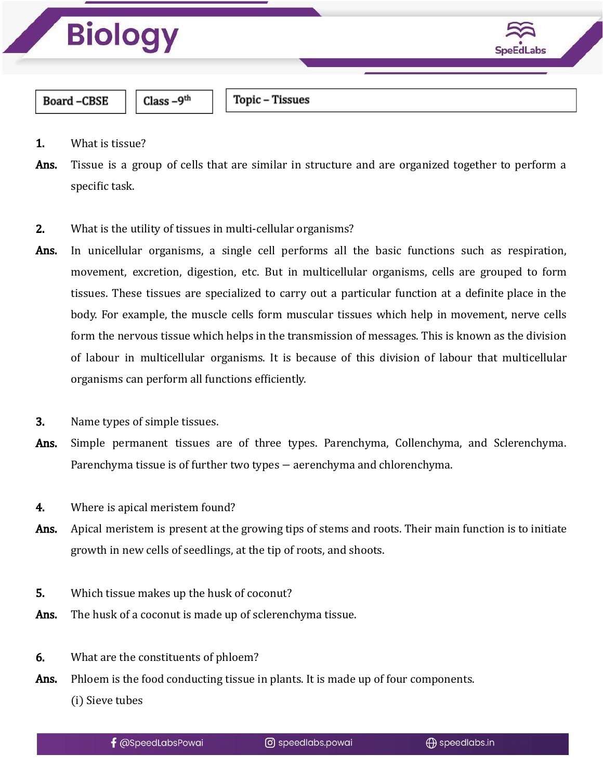

- 1. What is tissue?
- Ans. Tissue is a group of cells that are similar in structure and are organized together to perform a specific task.
- 2. What is the utility of tissues in multi-cellular organisms?
- Ans. In unicellular organisms, a single cell performs all the basic functions such as respiration, movement, excretion, digestion, etc. But in multicellular organisms, cells are grouped to form tissues. These tissues are specialized to carry out a particular function at a definite place in the body. For example, the muscle cells form muscular tissues which help in movement, nerve cells form the nervous tissue which helps in the transmission of messages. This is known as the division of labour in multicellular organisms. It is because of this division of labour that multicellular organisms can perform all functions efficiently.
- 3. Name types of simple tissues.
- Ans. Simple permanent tissues are of three types. Parenchyma, Collenchyma, and Sclerenchyma. Parenchyma tissue is of further two types − aerenchyma and chlorenchyma.
- 4. Where is apical meristem found?
- Ans. Apical meristem is present at the growing tips of stems and roots. Their main function is to initiate growth in new cells of seedlings, at the tip of roots, and shoots.
- 5. Which tissue makes up the husk of coconut?
- Ans. The husk of a coconut is made up of sclerenchyma tissue.
- 6. What are the constituents of phloem?
- Ans. Phloem is the food conducting tissue in plants. It is made up of four components.

(i) Sieve tubes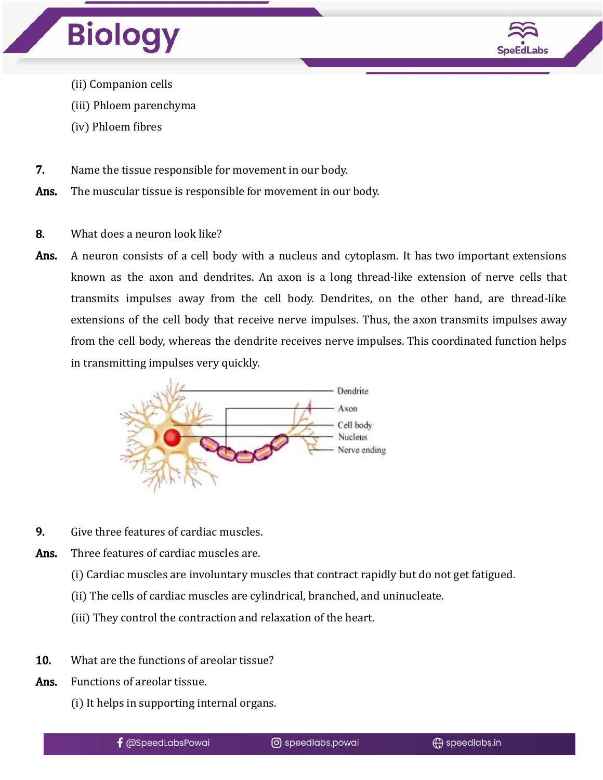



- (ii) Companion cells
- (iii) Phloem parenchyma
- (iv) Phloem fibres
- 7. Name the tissue responsible for movement in our body.
- Ans. The muscular tissue is responsible for movement in our body.
- 8. What does a neuron look like?
- Ans. A neuron consists of a cell body with a nucleus and cytoplasm. It has two important extensions known as the axon and dendrites. An axon is a long thread-like extension of nerve cells that transmits impulses away from the cell body. Dendrites, on the other hand, are thread-like extensions of the cell body that receive nerve impulses. Thus, the axon transmits impulses away from the cell body, whereas the dendrite receives nerve impulses. This coordinated function helps in transmitting impulses very quickly.



- 9. Give three features of cardiac muscles.
- Ans. Three features of cardiac muscles are.
	- (i) Cardiac muscles are involuntary muscles that contract rapidly but do not get fatigued.
	- (ii) The cells of cardiac muscles are cylindrical, branched, and uninucleate.
	- (iii) They control the contraction and relaxation of the heart.
- 10. What are the functions of areolar tissue?
- Ans. Functions of areolar tissue.
	- (i) It helps in supporting internal organs.